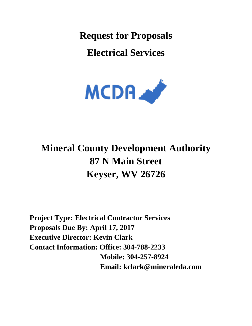**Request for Proposals**

**Electrical Services**



# **Mineral County Development Authority 87 N Main Street Keyser, WV 26726**

**Project Type: Electrical Contractor Services Proposals Due By: April 17, 2017 Executive Director: Kevin Clark Contact Information: Office: 304-788-2233 Mobile: 304-257-8924 Email: kclark@mineraleda.com**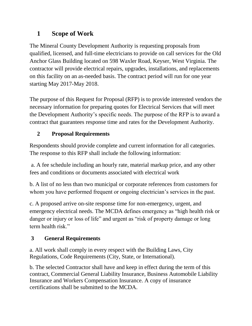# **1 Scope of Work**

The Mineral County Development Authority is requesting proposals from qualified, licensed, and full-time electricians to provide on call services for the Old Anchor Glass Building located on 598 Waxler Road, Keyser, West Virginia. The contractor will provide electrical repairs, upgrades, installations, and replacements on this facility on an as-needed basis. The contract period will run for one year starting May 2017-May 2018.

The purpose of this Request for Proposal (RFP) is to provide interested vendors the necessary information for preparing quotes for Electrical Services that will meet the Development Authority's specific needs. The purpose of the RFP is to award a contract that guarantees response time and rates for the Development Authority.

# **2 Proposal Requirements**

Respondents should provide complete and current information for all categories. The response to this RFP shall include the following information:

a. A fee schedule including an hourly rate, material markup price, and any other fees and conditions or documents associated with electrical work

b. A list of no less than two municipal or corporate references from customers for whom you have performed frequent or ongoing electrician's services in the past.

c. A proposed arrive on-site response time for non-emergency, urgent, and emergency electrical needs. The MCDA defines emergency as "high health risk or danger or injury or loss of life" and urgent as "risk of property damage or long term health risk."

## **3 General Requirements**

a. All work shall comply in every respect with the Building Laws, City Regulations, Code Requirements (City, State, or International).

b. The selected Contractor shall have and keep in effect during the term of this contract, Commercial General Liability Insurance, Business Automobile Liability Insurance and Workers Compensation Insurance. A copy of insurance certifications shall be submitted to the MCDA.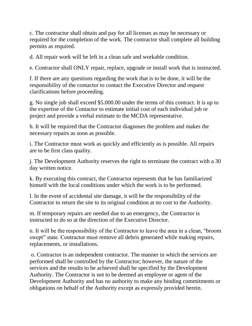c. The contractor shall obtain and pay for all licenses as may be necessary or required for the completion of the work. The contractor shall complete all building permits as required.

d. All repair work will be left in a clean safe and workable condition.

e. Contractor shall ONLY repair, replace, upgrade or install work that is instructed.

f. If there are any questions regarding the work that is to be done, it will be the responsibility of the contactor to contact the Executive Director and request clarifications before proceeding.

g. No single job shall exceed \$5.000.00 under the terms of this contract. It is up to the expertise of the Contactor to estimate initial cost of each individual job or project and provide a verbal estimate to the MCDA representative.

h. It will be required that the Contractor diagnoses the problem and makes the necessary repairs as soon as possible.

i. The Contractor must work as quickly and efficiently as is possible. All repairs are to be first class quality.

j. The Development Authority reserves the right to terminate the contract with a 30 day written notice.

k. By executing this contract, the Contractor represents that he has familiarized himself with the local conditions under which the work is to be performed.

l. In the event of accidental site damage, it will be the responsibility of the Contractor to return the site to its original condition at no cost to the Authority.

m. If temporary repairs are needed due to an emergency, the Contractor is instructed to do so at the direction of the Executive Director.

n. It will be the responsibility of the Contractor to leave the area in a clean, "broom swept" state. Contractor must remove all debris generated while making repairs, replacements, or installations.

o. Contractor is an independent contractor. The manner in which the services are performed shall be controlled by the Contractor; however, the nature of the services and the results to be achieved shall be specified by the Development Authority. The Contractor is not to be deemed an employee or agent of the Development Authority and has no authority to make any binding commitments or obligations on behalf of the Authority except as expressly provided herein.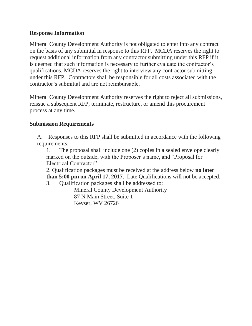#### **Response Information**

Mineral County Development Authority is not obligated to enter into any contract on the basis of any submittal in response to this RFP. MCDA reserves the right to request additional information from any contractor submitting under this RFP if it is deemed that such information is necessary to further evaluate the contractor's qualifications. MCDA reserves the right to interview any contractor submitting under this RFP. Contractors shall be responsible for all costs associated with the contractor's submittal and are not reimbursable.

Mineral County Development Authority reserves the right to reject all submissions, reissue a subsequent RFP, terminate, restructure, or amend this procurement process at any time.

#### **Submission Requirements**

A. Responses to this RFP shall be submitted in accordance with the following requirements:

1. The proposal shall include one (2) copies in a sealed envelope clearly marked on the outside, with the Proposer's name, and "Proposal for Electrical Contractor"

2. Qualification packages must be received at the address below **no later than 5:00 pm on April 17, 2017**. Late Qualifications will not be accepted.

3. Qualification packages shall be addressed to:

Mineral County Development Authority 87 N Main Street, Suite 1 Keyser, WV 26726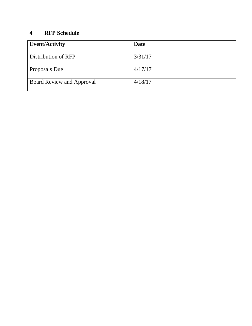#### **4 RFP Schedule**

| <b>Event/Activity</b>            | Date    |
|----------------------------------|---------|
| Distribution of RFP              | 3/31/17 |
| Proposals Due                    | 4/17/17 |
| <b>Board Review and Approval</b> | 4/18/17 |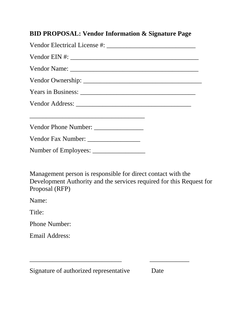## **BID PROPOSAL: Vendor Information & Signature Page**

Vendor Electrical License #: Vendor EIN #: \_\_\_\_\_\_\_\_\_\_\_\_\_\_\_\_\_\_\_\_\_\_\_\_\_\_\_\_\_\_\_\_\_\_\_\_\_\_\_ Vendor Name: \_\_\_\_\_\_\_\_\_\_\_\_\_\_\_\_\_\_\_\_\_\_\_\_\_\_\_\_\_\_\_\_\_\_\_\_\_\_\_ Vendor Ownership: \_\_\_\_\_\_\_\_\_\_\_\_\_\_\_\_\_\_\_\_\_\_\_\_\_\_\_\_\_\_\_\_\_\_\_\_ Years in Business: \_\_\_\_\_\_\_\_\_\_\_\_\_\_\_\_\_\_\_\_\_\_\_\_\_\_\_\_\_\_\_\_\_\_\_ Vendor Address: \_\_\_\_\_\_\_\_\_\_\_\_\_\_\_\_\_\_\_\_\_\_\_\_\_\_\_\_\_\_\_\_\_\_\_ \_\_\_\_\_\_\_\_\_\_\_\_\_\_\_\_\_\_\_\_\_\_\_\_\_\_\_\_\_\_\_\_\_\_\_ Vendor Phone Number: \_\_\_\_\_\_\_\_\_\_\_\_\_\_\_ Vendor Fax Number: Number of Employees: \_\_\_\_\_\_\_\_\_\_\_\_\_\_\_\_

Management person is responsible for direct contact with the Development Authority and the services required for this Request for Proposal (RFP)

\_\_\_\_\_\_\_\_\_\_\_\_\_\_\_\_\_\_\_\_\_\_\_\_\_\_\_\_ \_\_\_\_\_\_\_\_\_\_\_\_

Name:

Title:

Phone Number:

Email Address:

Signature of authorized representative Date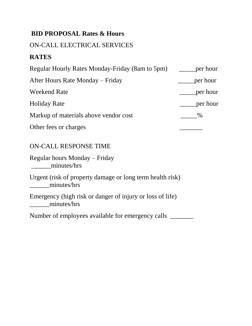# **BID PROPOSAL Rates & Hours**

#### ON-CALL ELECTRICAL SERVICES

# **RATES**

| Regular Hourly Rates Monday-Friday (8am to 5pm) | per hour |
|-------------------------------------------------|----------|
| After Hours Rate Monday – Friday                | per hour |
| <b>Weekend Rate</b>                             | per hour |
| <b>Holiday Rate</b>                             | per hour |
| Markup of materials above vendor cost           | $\%$     |
| Other fees or charges                           |          |

# ON-CALL RESPONSE TIME

Regular hours Monday – Friday minutes/hrs

Urgent (risk of property damage or long term health risk) minutes/hrs

Emergency (high risk or danger of injury or loss of life) \_\_\_\_\_\_minutes/hrs

Number of employees available for emergency calls \_\_\_\_\_\_